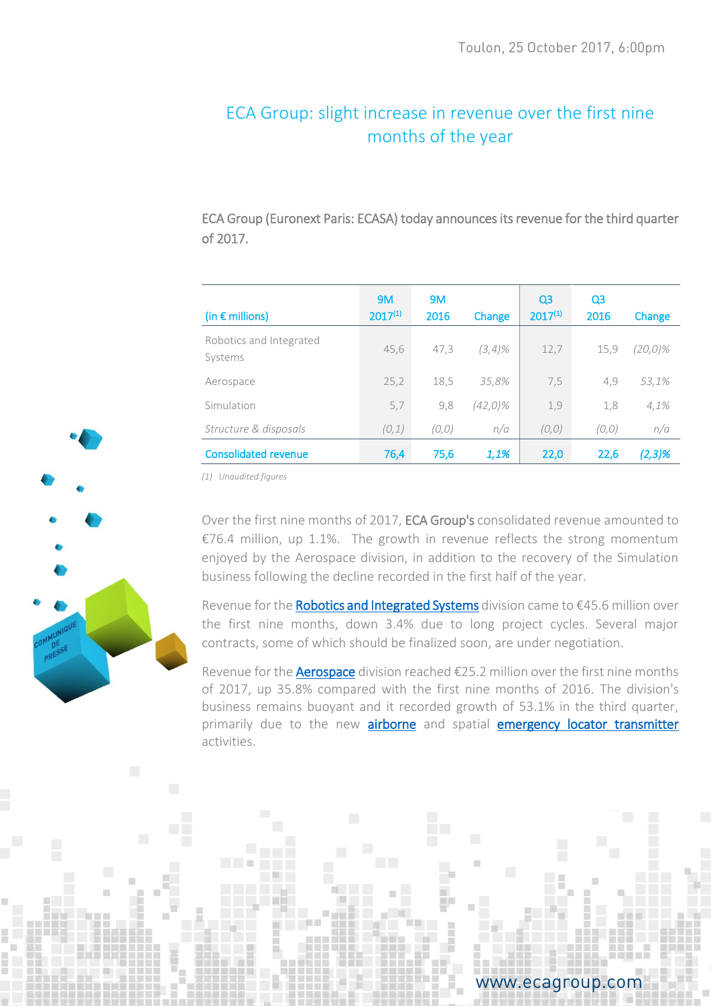# ECA Group: slight increase in revenue over the first nine months of the year

ECA Group (Euronext Paris: ECASA) today announces its revenue for the third quarter of 2017.

| (in $\epsilon$ millions)           | 9M<br>$2017^{(1)}$ | <b>9M</b><br>2016 | Change     | Q <sub>3</sub><br>$2017^{(1)}$ | Q <sub>3</sub><br>2016 | Change  |
|------------------------------------|--------------------|-------------------|------------|--------------------------------|------------------------|---------|
| Robotics and Integrated<br>Systems | 45,6               | 47,3              | (3,4)%     | 12,7                           | 15,9                   | (20,0)% |
| Aerospace                          | 25,2               | 18,5              | 35,8%      | 7,5                            | 4,9                    | 53,1%   |
| Simulation                         | 5,7                | 9,8               | $(42,0)\%$ | 1,9                            | 1,8                    | 4,1%    |
| Structure & disposals              | (0,1)              | (0, 0)            | n/a        | (0, 0)                         | (0, 0)                 | n/a     |
| <b>Consolidated revenue</b>        | 76,4               | 75,6              | 1,1%       | 22,0                           | 22,6                   | (2,3)%  |

*(1) Unaudited figures*

Over the first nine months of 2017, ECA Group's consolidated revenue amounted to €76.4 million, up 1.1%. The growth in revenue reflects the strong momentum enjoyed by the Aerospace division, in addition to the recovery of the Simulation business following the decline recorded in the first half of the year.

Revenue for th[e Robotics and Integrated Systems](http://www.ecagroup.com/en/robotic-and-integrated-systems) division came to  $\epsilon$ 45.6 million over the first nine months, down 3.4% due to long project cycles. Several major contracts, some of which should be finalized soon, are under negotiation.

Revenue for the **Aerospace** division reached  $\epsilon$ 25.2 million over the first nine months of 2017, up 35.8% compared with the first nine months of 2016. The division's business remains buoyant and it recorded growth of 53.1% in the third quarter, primarily due to the new [airborne](https://www.ecagroup.com/en/aerospace/airborne-monitoring-survey) and spatial [emergency locator transmitter](https://www.ecagroup.com/en/activities/aerospace-emergency-locator-transmitters-elts) activities.



www.ecagroup.com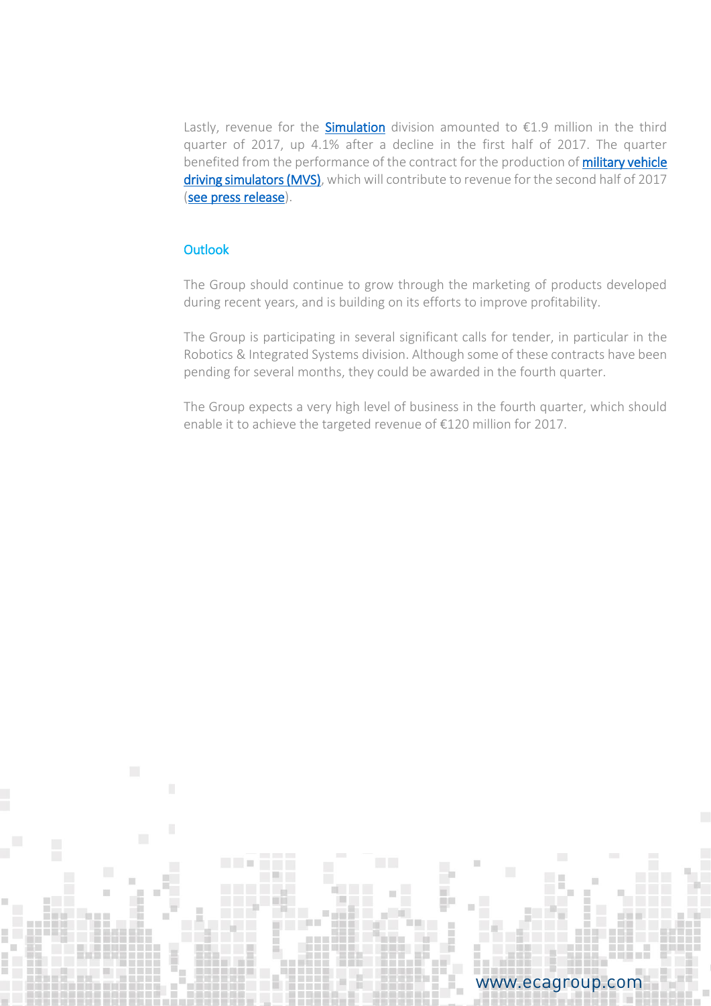Lastly, revenue for the **Simulation** division amounted to  $\epsilon$ 1.9 million in the third quarter of 2017, up 4.1% after a decline in the first half of 2017. The quarter benefited from the performance of the contract for the production of **military vehicle** [driving simulators \(MVS\),](https://www.ecagroup.com/en/solutions/military-vehicle-simulator) which will contribute to revenue for the second half of 2017 [\(see press release\)](http://www.ecagroup.com/en/financial/eca-group-announces-2nd-contract-military-vehicle-training-simulators).

### **Outlook**

The Group should continue to grow through the marketing of products developed during recent years, and is building on its efforts to improve profitability.

The Group is participating in several significant calls for tender, in particular in the Robotics & Integrated Systems division. Although some of these contracts have been pending for several months, they could be awarded in the fourth quarter.

The Group expects a very high level of business in the fourth quarter, which should enable it to achieve the targeted revenue of €120 million for 2017.

## www.ecagroup.com